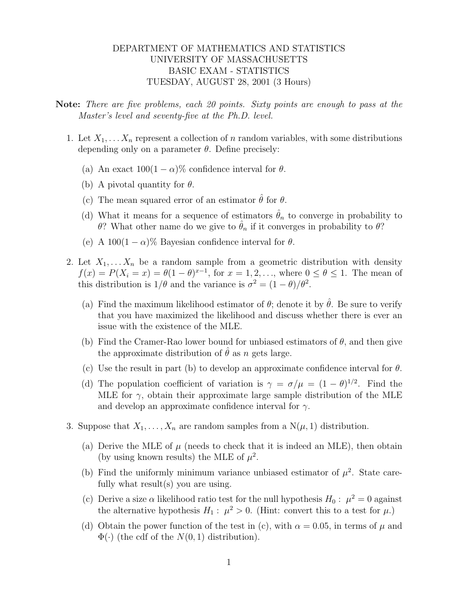## DEPARTMENT OF MATHEMATICS AND STATISTICS UNIVERSITY OF MASSACHUSETTS BASIC EXAM - STATISTICS TUESDAY, AUGUST 28, 2001 (3 Hours)

Note: There are five problems, each 20 points. Sixty points are enough to pass at the Master's level and seventy-five at the Ph.D. level.

- 1. Let  $X_1, \ldots, X_n$  represent a collection of n random variables, with some distributions depending only on a parameter  $\theta$ . Define precisely:
	- (a) An exact  $100(1-\alpha)\%$  confidence interval for  $\theta$ .
	- (b) A pivotal quantity for  $\theta$ .
	- (c) The mean squared error of an estimator  $\hat{\theta}$  for  $\theta$ .
	- (d) What it means for a sequence of estimators  $\hat{\theta}_n$  to converge in probability to θ? What other name do we give to  $\hat{\theta}_n$  if it converges in probability to θ?
	- (e) A  $100(1 \alpha)\%$  Bayesian confidence interval for  $\theta$ .
- 2. Let  $X_1, \ldots, X_n$  be a random sample from a geometric distribution with density  $f(x) = P(X_i = x) = \theta(1 - \theta)^{x-1}$ , for  $x = 1, 2, ...,$  where  $0 \le \theta \le 1$ . The mean of this distribution is  $1/\theta$  and the variance is  $\sigma^2 = (1 - \theta)/\theta^2$ .
	- (a) Find the maximum likelihood estimator of  $\theta$ ; denote it by  $\theta$ . Be sure to verify that you have maximized the likelihood and discuss whether there is ever an issue with the existence of the MLE.
	- (b) Find the Cramer-Rao lower bound for unbiased estimators of  $\theta$ , and then give the approximate distribution of  $\hat{\theta}$  as n gets large.
	- (c) Use the result in part (b) to develop an approximate confidence interval for  $\theta$ .
	- (d) The population coefficient of variation is  $\gamma = \sigma/\mu = (1 \theta)^{1/2}$ . Find the MLE for  $\gamma$ , obtain their approximate large sample distribution of the MLE and develop an approximate confidence interval for  $\gamma$ .
- 3. Suppose that  $X_1, \ldots, X_n$  are random samples from a  $N(\mu, 1)$  distribution.
	- (a) Derive the MLE of  $\mu$  (needs to check that it is indeed an MLE), then obtain (by using known results) the MLE of  $\mu^2$ .
	- (b) Find the uniformly minimum variance unbiased estimator of  $\mu^2$ . State carefully what result(s) you are using.
	- (c) Derive a size  $\alpha$  likelihood ratio test for the null hypothesis  $H_0: \mu^2 = 0$  against the alternative hypothesis  $H_1: \mu^2 > 0$ . (Hint: convert this to a test for  $\mu$ .)
	- (d) Obtain the power function of the test in (c), with  $\alpha = 0.05$ , in terms of  $\mu$  and  $\Phi(\cdot)$  (the cdf of the  $N(0, 1)$  distribution).